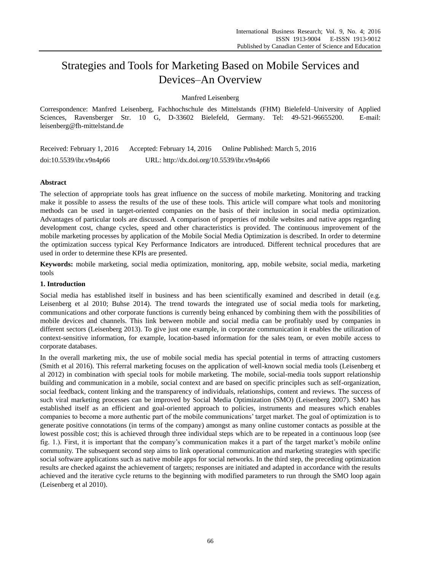# Strategies and Tools for Marketing Based on Mobile Services and Devices–An Overview

Manfred Leisenberg

Correspondence: Manfred Leisenberg, Fachhochschule des Mittelstands (FHM) Bielefeld–University of Applied Sciences, Ravensberger Str. 10 G, D-33602 Bielefeld, Germany. Tel: 49-521-96655200. E-mail: leisenberg@fh-mittelstand.de

| Received: February 1, 2016 | Accepted: February 14, 2016                | Online Published: March 5, 2016 |  |
|----------------------------|--------------------------------------------|---------------------------------|--|
| doi:10.5539/ibr.v9n4p66    | URL: http://dx.doi.org/10.5539/ibr.v9n4p66 |                                 |  |

## **Abstract**

The selection of appropriate tools has great influence on the success of mobile marketing. Monitoring and tracking make it possible to assess the results of the use of these tools. This article will compare what tools and monitoring methods can be used in target-oriented companies on the basis of their inclusion in social media optimization. Advantages of particular tools are discussed. A comparison of properties of mobile websites and native apps regarding development cost, change cycles, speed and other characteristics is provided. The continuous improvement of the mobile marketing processes by application of the Mobile Social Media Optimization is described. In order to determine the optimization success typical Key Performance Indicators are introduced. Different technical procedures that are used in order to determine these KPIs are presented.

**Keywords:** mobile marketing, social media optimization, monitoring, app, mobile website, social media, marketing tools

## **1. Introduction**

Social media has established itself in business and has been scientifically examined and described in detail (e.g. Leisenberg et al 2010; Buhse 2014). The trend towards the integrated use of social media tools for marketing, communications and other corporate functions is currently being enhanced by combining them with the possibilities of mobile devices and channels. This link between mobile and social media can be profitably used by companies in different sectors (Leisenberg 2013). To give just one example, in corporate communication it enables the utilization of context-sensitive information, for example, location-based information for the sales team, or even mobile access to corporate databases.

In the overall marketing mix, the use of mobile social media has special potential in terms of attracting customers (Smith et al 2016). This referral marketing focuses on the application of well-known social media tools (Leisenberg et al 2012) in combination with special tools for mobile marketing. The mobile, social-media tools support relationship building and communication in a mobile, social context and are based on specific principles such as self-organization, social feedback, content linking and the transparency of individuals, relationships, content and reviews. The success of such viral marketing processes can be improved by Social Media Optimization (SMO) (Leisenberg 2007). SMO has established itself as an efficient and goal-oriented approach to policies, instruments and measures which enables companies to become a more authentic part of the mobile communications' target market. The goal of optimization is to generate positive connotations (in terms of the company) amongst as many online customer contacts as possible at the lowest possible cost; this is achieved through three individual steps which are to be repeated in a continuous loop (see fig. 1.). First, it is important that the company's communication makes it a part of the target market's mobile online community. The subsequent second step aims to link operational communication and marketing strategies with specific social software applications such as native mobile apps for social networks. In the third step, the preceding optimization results are checked against the achievement of targets; responses are initiated and adapted in accordance with the results achieved and the iterative cycle returns to the beginning with modified parameters to run through the SMO loop again (Leisenberg et al 2010).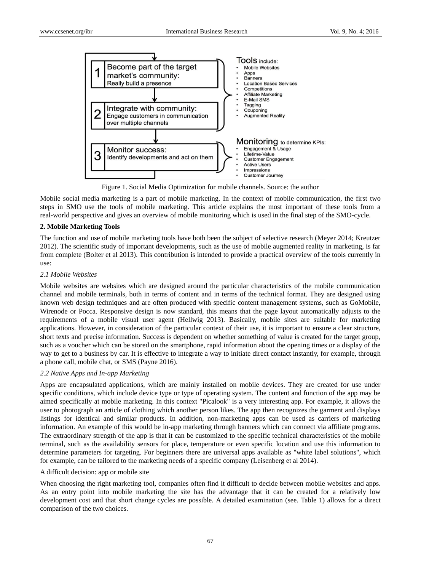

Figure 1. Social Media Optimization for mobile channels. Source: the author

Mobile social media marketing is a part of mobile marketing. In the context of mobile communication, the first two steps in SMO use the tools of mobile marketing. This article explains the most important of these tools from a real-world perspective and gives an overview of mobile monitoring which is used in the final step of the SMO-cycle.

### **2. Mobile Marketing Tools**

The function and use of mobile marketing tools have both been the subject of selective research (Meyer 2014; Kreutzer 2012). The scientific study of important developments, such as the use of mobile augmented reality in marketing, is far from complete (Bolter et al 2013). This contribution is intended to provide a practical overview of the tools currently in use:

### *2.1 Mobile Websites*

Mobile websites are websites which are designed around the particular characteristics of the mobile communication channel and mobile terminals, both in terms of content and in terms of the technical format. They are designed using known web design techniques and are often produced with specific content management systems, such as GoMobile, Wirenode or Pocca. Responsive design is now standard, this means that the page layout automatically adjusts to the requirements of a mobile visual user agent (Hellwig 2013). Basically, mobile sites are suitable for marketing applications. However, in consideration of the particular context of their use, it is important to ensure a clear structure, short texts and precise information. Success is dependent on whether something of value is created for the target group, such as a voucher which can be stored on the smartphone, rapid information about the opening times or a display of the way to get to a business by car. It is effective to integrate a way to initiate direct contact instantly, for example, through a phone call, mobile chat, or SMS (Payne 2016).

## *2.2 Native Apps and In-app Marketing*

Apps are encapsulated applications, which are mainly installed on mobile devices. They are created for use under specific conditions, which include device type or type of operating system. The content and function of the app may be aimed specifically at mobile marketing. In this context "Picalook" is a very interesting app. For example, it allows the user to photograph an article of clothing which another person likes. The app then recognizes the garment and displays listings for identical and similar products. In addition, non-marketing apps can be used as carriers of marketing information. An example of this would be in-app marketing through banners which can connect via affiliate programs. The extraordinary strength of the app is that it can be customized to the specific technical characteristics of the mobile terminal, such as the availability sensors for place, temperature or even specific location and use this information to determine parameters for targeting. For beginners there are universal apps available as "white label solutions", which for example, can be tailored to the marketing needs of a specific company (Leisenberg et al 2014).

A difficult decision: app or mobile site

When choosing the right marketing tool, companies often find it difficult to decide between mobile websites and apps. As an entry point into mobile marketing the site has the advantage that it can be created for a relatively low development cost and that short change cycles are possible. A detailed examination (see. Table 1) allows for a direct comparison of the two choices.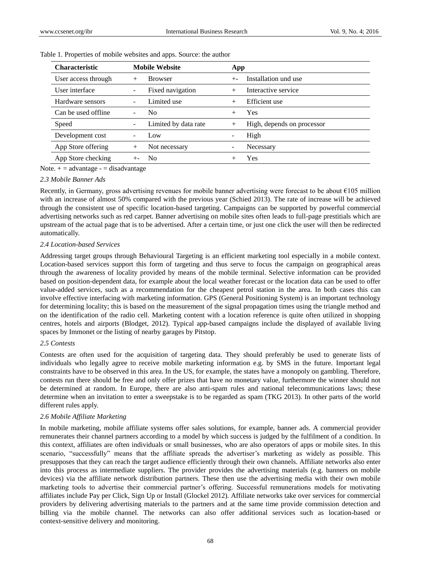| <b>Characteristic</b> | <b>Mobile Website</b> |                      |        | App                        |  |
|-----------------------|-----------------------|----------------------|--------|----------------------------|--|
| User access through   | $^{+}$                | <b>Browser</b>       | $+ -$  | Installation und use       |  |
| User interface        |                       | Fixed navigation     |        | Interactive service        |  |
| Hardware sensors      |                       | Limited use          |        | Efficient use              |  |
| Can be used offline   |                       | No.                  | $^{+}$ | <b>Yes</b>                 |  |
| Speed                 |                       | Limited by data rate |        | High, depends on processor |  |
| Development cost      |                       | Low                  |        | High                       |  |
| App Store offering    | $^+$                  | Not necessary        |        | Necessary                  |  |
| App Store checking    |                       | N <sub>0</sub>       |        | <b>Yes</b>                 |  |

Table 1. Properties of mobile websites and apps. Source: the author

Note.  $+$  = advantage - = disadvantage

#### *2.3 Mobile Banner Ads*

Recently, in Germany, gross advertising revenues for mobile banner advertising were forecast to be about €105 million with an increase of almost 50% compared with the previous year (Schied 2013). The rate of increase will be achieved through the consistent use of specific location-based targeting. Campaigns can be supported by powerful commercial advertising networks such as red carpet. Banner advertising on mobile sites often leads to full-page prestitials which are upstream of the actual page that is to be advertised. After a certain time, or just one click the user will then be redirected automatically.

#### *2.4 Location-based Services*

Addressing target groups through Behavioural Targeting is an efficient marketing tool especially in a mobile context. Location-based services support this form of targeting and thus serve to focus the campaign on geographical areas through the awareness of locality provided by means of the mobile terminal. Selective information can be provided based on position-dependent data, for example about the local weather forecast or the location data can be used to offer value-added services, such as a recommendation for the cheapest petrol station in the area. In both cases this can involve effective interfacing with marketing information. GPS (General Positioning System) is an important technology for determining locality; this is based on the measurement of the signal propagation times using the triangle method and on the identification of the radio cell. Marketing content with a location reference is quite often utilized in shopping centres, hotels and airports (Blodget, 2012). Typical app-based campaigns include the displayed of available living spaces by Immonet or the listing of nearby garages by Pitstop.

#### *2.5 Contests*

Contests are often used for the acquisition of targeting data. They should preferably be used to generate lists of individuals who legally agree to receive mobile marketing information e.g. by SMS in the future. Important legal constraints have to be observed in this area. In the US, for example, the states have a monopoly on gambling. Therefore, contests run there should be free and only offer prizes that have no monetary value, furthermore the winner should not be determined at random. In Europe, there are also anti-spam rules and national telecommunications laws; these determine when an invitation to enter a sweepstake is to be regarded as spam (TKG 2013). In other parts of the world different rules apply.

### *2.6 Mobile Affiliate Marketing*

In mobile marketing, mobile affiliate systems offer sales solutions, for example, banner ads. A commercial provider remunerates their channel partners according to a model by which success is judged by the fulfilment of a condition. In this context, affiliates are often individuals or small businesses, who are also operators of apps or mobile sites. In this scenario, "successfully" means that the affiliate spreads the advertiser's marketing as widely as possible. This presupposes that they can reach the target audience efficiently through their own channels. Affiliate networks also enter into this process as intermediate suppliers. The provider provides the advertising materials (e.g. banners on mobile devices) via the affiliate network distribution partners. These then use the advertising media with their own mobile marketing tools to advertise their commercial partner's offering. Successful remunerations models for motivating affiliates include Pay per Click, Sign Up or Install (Glockel 2012). Affiliate networks take over services for commercial providers by delivering advertising materials to the partners and at the same time provide commission detection and billing via the mobile channel. The networks can also offer additional services such as location-based or context-sensitive delivery and monitoring.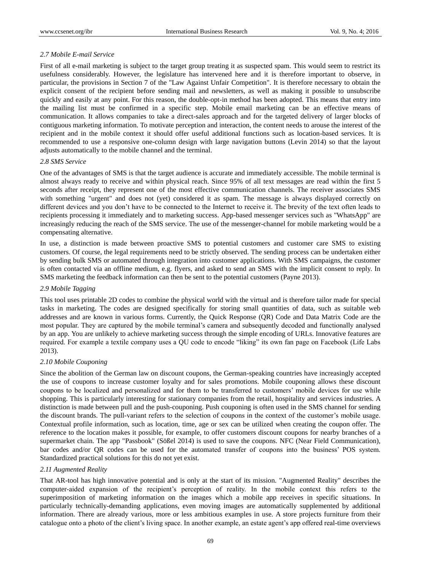## *2.7 Mobile E-mail Service*

First of all e-mail marketing is subject to the target group treating it as suspected spam. This would seem to restrict its usefulness considerably. However, the legislature has intervened here and it is therefore important to observe, in particular, the provisions in Section 7 of the "Law Against Unfair Competition". It is therefore necessary to obtain the explicit consent of the recipient before sending mail and newsletters, as well as making it possible to unsubscribe quickly and easily at any point. For this reason, the double-opt-in method has been adopted. This means that entry into the mailing list must be confirmed in a specific step. Mobile email marketing can be an effective means of communication. It allows companies to take a direct-sales approach and for the targeted delivery of larger blocks of contiguous marketing information. To motivate perception and interaction, the content needs to arouse the interest of the recipient and in the mobile context it should offer useful additional functions such as location-based services. It is recommended to use a responsive one-column design with large navigation buttons (Levin 2014) so that the layout adjusts automatically to the mobile channel and the terminal.

## *2.8 SMS Service*

One of the advantages of SMS is that the target audience is accurate and immediately accessible. The mobile terminal is almost always ready to receive and within physical reach. Since 95% of all text messages are read within the first 5 seconds after receipt, they represent one of the most effective communication channels. The receiver associates SMS with something "urgent" and does not (yet) considered it as spam. The message is always displayed correctly on different devices and you don't have to be connected to the Internet to receive it. The brevity of the text often leads to recipients processing it immediately and to marketing success. App-based messenger services such as "WhatsApp" are increasingly reducing the reach of the SMS service. The use of the messenger-channel for mobile marketing would be a compensating alternative.

In use, a distinction is made between proactive SMS to potential customers and customer care SMS to existing customers. Of course, the legal requirements need to be strictly observed. The sending process can be undertaken either by sending bulk SMS or automated through integration into customer applications. With SMS campaigns, the customer is often contacted via an offline medium, e.g. flyers, and asked to send an SMS with the implicit consent to reply. In SMS marketing the feedback information can then be sent to the potential customers (Payne 2013).

## *2.9 Mobile Tagging*

This tool uses printable 2D codes to combine the physical world with the virtual and is therefore tailor made for special tasks in marketing. The codes are designed specifically for storing small quantities of data, such as suitable web addresses and are known in various forms. Currently, the Quick Response (QR) Code and Data Matrix Code are the most popular. They are captured by the mobile terminal's camera and subsequently decoded and functionally analysed by an app. You are unlikely to achieve marketing success through the simple encoding of URLs. Innovative features are required. For example a textile company uses a QU code to encode "liking" its own fan page on Facebook (Life Labs 2013).

#### *2.10 Mobile Couponing*

Since the abolition of the German law on discount coupons, the German-speaking countries have increasingly accepted the use of coupons to increase customer loyalty and for sales promotions. Mobile couponing allows these discount coupons to be localized and personalized and for them to be transferred to customers' mobile devices for use while shopping. This is particularly interesting for stationary companies from the retail, hospitality and services industries. A distinction is made between pull and the push-couponing. Push couponing is often used in the SMS channel for sending the discount brands. The pull-variant refers to the selection of coupons in the context of the customer's mobile usage. Contextual profile information, such as location, time, age or sex can be utilized when creating the coupon offer. The reference to the location makes it possible, for example, to offer customers discount coupons for nearby branches of a supermarket chain. The app "Passbook" (Sößel 2014) is used to save the coupons. NFC (Near Field Communication), bar codes and/or QR codes can be used for the automated transfer of coupons into the business' POS system. Standardized practical solutions for this do not yet exist.

## *2.11 Augmented Reality*

That AR-tool has high innovative potential and is only at the start of its mission. "Augmented Reality" describes the computer-aided expansion of the recipient's perception of reality. In the mobile context this refers to the superimposition of marketing information on the images which a mobile app receives in specific situations. In particularly technically-demanding applications, even moving images are automatically supplemented by additional information. There are already various, more or less ambitious examples in use. A store projects furniture from their catalogue onto a photo of the client's living space. In another example, an estate agent's app offered real-time overviews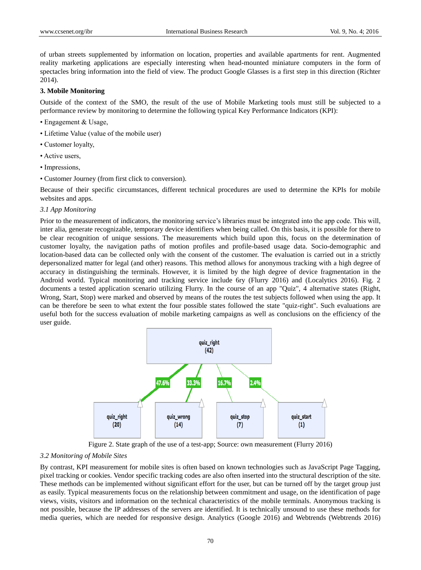of urban streets supplemented by information on location, properties and available apartments for rent. Augmented reality marketing applications are especially interesting when head-mounted miniature computers in the form of spectacles bring information into the field of view. The product Google Glasses is a first step in this direction (Richter 2014).

## **3. Mobile Monitoring**

Outside of the context of the SMO, the result of the use of Mobile Marketing tools must still be subjected to a performance review by monitoring to determine the following typical Key Performance Indicators (KPI):

- Engagement & Usage,
- Lifetime Value (value of the mobile user)
- Customer loyalty,
- Active users,
- Impressions,
- Customer Journey (from first click to conversion).

Because of their specific circumstances, different technical procedures are used to determine the KPIs for mobile websites and apps.

#### *3.1 App Monitoring*

Prior to the measurement of indicators, the monitoring service's libraries must be integrated into the app code. This will, inter alia, generate recognizable, temporary device identifiers when being called. On this basis, it is possible for there to be clear recognition of unique sessions. The measurements which build upon this, focus on the determination of customer loyalty, the navigation paths of motion profiles and profile-based usage data. Socio-demographic and location-based data can be collected only with the consent of the customer. The evaluation is carried out in a strictly depersonalized matter for legal (and other) reasons. This method allows for anonymous tracking with a high degree of accuracy in distinguishing the terminals. However, it is limited by the high degree of device fragmentation in the Android world. Typical monitoring and tracking service include 6ry (Flurry 2016) and (Localytics 2016). Fig. 2 documents a tested application scenario utilizing Flurry. In the course of an app "Quiz", 4 alternative states (Right, Wrong, Start, Stop) were marked and observed by means of the routes the test subjects followed when using the app. It can be therefore be seen to what extent the four possible states followed the state "quiz-right". Such evaluations are useful both for the success evaluation of mobile marketing campaigns as well as conclusions on the efficiency of the user guide.



Figure 2. State graph of the use of a test-app; Source: own measurement (Flurry 2016)

#### *3.2 Monitoring of Mobile Sites*

By contrast, KPI measurement for mobile sites is often based on known technologies such as JavaScript Page Tagging, pixel tracking or cookies. Vendor specific tracking codes are also often inserted into the structural description of the site. These methods can be implemented without significant effort for the user, but can be turned off by the target group just as easily. Typical measurements focus on the relationship between commitment and usage, on the identification of page views, visits, visitors and information on the technical characteristics of the mobile terminals. Anonymous tracking is not possible, because the IP addresses of the servers are identified. It is technically unsound to use these methods for media queries, which are needed for responsive design. Analytics (Google 2016) and Webtrends (Webtrends 2016)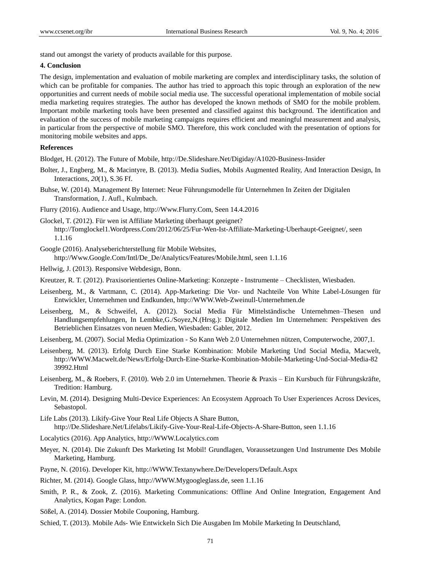stand out amongst the variety of products available for this purpose.

#### **4. Conclusion**

The design, implementation and evaluation of mobile marketing are complex and interdisciplinary tasks, the solution of which can be profitable for companies. The author has tried to approach this topic through an exploration of the new opportunities and current needs of mobile social media use. The successful operational implementation of mobile social media marketing requires strategies. The author has developed the known methods of SMO for the mobile problem. Important mobile marketing tools have been presented and classified against this background. The identification and evaluation of the success of mobile marketing campaigns requires efficient and meaningful measurement and analysis, in particular from the perspective of mobile SMO. Therefore, this work concluded with the presentation of options for monitoring mobile websites and apps.

#### **References**

Blodget, H. (2012). The Future of Mobile, http://De.Slideshare.Net/Digiday/A1020-Business-Insider

- Bolter, J., Engberg, M., & Macintyre, B. (2013). Media Sudies, Mobils Augmented Reality, And Interaction Design, In Interactions, *20*(1), S.36 Ff.
- Buhse, W. (2014). Management By Internet: Neue Führungsmodelle für Unternehmen In Zeiten der Digitalen Transformation, *1*. Aufl., Kulmbach.
- Flurry (2016). Audience and Usage, http://Www.Flurry.Com, Seen 14.4.2016
- Glockel, T. (2012). Für wen ist Affiliate Marketing überhaupt geeignet? http://Tomglockel1.Wordpress.Com/2012/06/25/Fur-Wen-Ist-Affiliate-Marketing-Uberhaupt-Geeignet/, seen 1.1.16
- Google (2016). Analyseberichterstellung für Mobile Websites, http://Www.Google.Com/Intl/De\_De/Analytics/Features/Mobile.html, seen 1.1.16

Hellwig, J. (2013). Responsive Webdesign, Bonn.

- Kreutzer, R. T. (2012). Praxisorientiertes Online-Marketing: Konzepte Instrumente Checklisten, Wiesbaden.
- Leisenberg, M., & Vartmann, C. (2014). App-Marketing: Die Vor- und Nachteile Von White Label-Lösungen für Entwickler, Unternehmen und Endkunden, http://WWW.Web-Zweinull-Unternehmen.de
- Leisenberg, M., & Schweifel, A. (2012). Social Media Für Mittelständische Unternehmen–Thesen und Handlungsempfehlungen, In Lembke,G./Soyez,N.(Hrsg.): Digitale Medien Im Unternehmen: Perspektiven des Betrieblichen Einsatzes von neuen Medien, Wiesbaden: Gabler, 2012.
- Leisenberg, M. (2007). Social Media Optimization So Kann Web 2.0 Unternehmen nützen, Computerwoche, 2007,1.
- Leisenberg, M. (2013). Erfolg Durch Eine Starke Kombination: Mobile Marketing Und Social Media, Macwelt, http://WWW.Macwelt.de/News/Erfolg-Durch-Eine-Starke-Kombination-Mobile-Marketing-Und-Social-Media-82 39992.Html
- Leisenberg, M., & Roebers, F. (2010). Web 2.0 im Unternehmen. Theorie & Praxis Ein Kursbuch für Führungskräfte, Tredition: Hamburg.
- Levin, M. (2014). Designing Multi-Device Experiences: An Ecosystem Approach To User Experiences Across Devices, Sebastopol.
- Life Labs (2013). Likify-Give Your Real Life Objects A Share Button, http://De.Slideshare.Net/Lifelabs/Likify-Give-Your-Real-Life-Objects-A-Share-Button, seen 1.1.16
- Localytics (2016). App Analytics, http://WWW.Localytics.com
- Meyer, N. (2014). Die Zukunft Des Marketing Ist Mobil! Grundlagen, Voraussetzungen Und Instrumente Des Mobile Marketing, Hamburg.
- Payne, N. (2016). Developer Kit, http://WWW.Textanywhere.De/Developers/Default.Aspx
- Richter, M. (2014). Google Glass, http://WWW.Mygoogleglass.de, seen 1.1.16
- Smith, P. R., & Zook, Z. (2016). Marketing Communications: Offline And Online Integration, Engagement And Analytics, Kogan Page: London.
- Sößel, A. (2014). Dossier Mobile Couponing, Hamburg.
- Schied, T. (2013). Mobile Ads- Wie Entwickeln Sich Die Ausgaben Im Mobile Marketing In Deutschland,